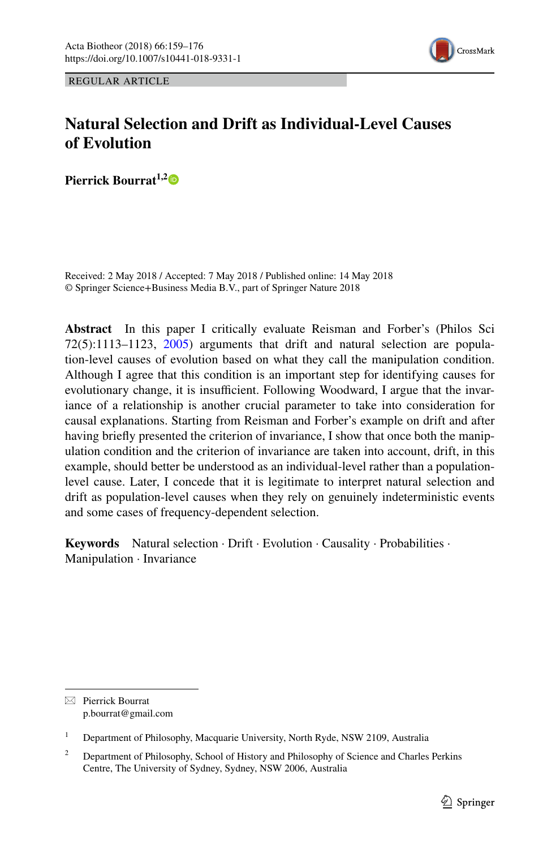

REGULAR ARTICLE

# **Natural Selection and Drift as Individual‑Level Causes of Evolution**

**Pierrick Bourrat**<sup>1,[2](http://orcid.org/0000-0002-4465-6015)</sup><sup>**D**</sup>

Received: 2 May 2018 / Accepted: 7 May 2018 / Published online: 14 May 2018 © Springer Science+Business Media B.V., part of Springer Nature 2018

**Abstract** In this paper I critically evaluate Reisman and Forber's (Philos Sci 72(5):1113–1123, [2005](#page-16-0)) arguments that drift and natural selection are population-level causes of evolution based on what they call the manipulation condition. Although I agree that this condition is an important step for identifying causes for evolutionary change, it is insufficient. Following Woodward, I argue that the invariance of a relationship is another crucial parameter to take into consideration for causal explanations. Starting from Reisman and Forber's example on drift and after having briefy presented the criterion of invariance, I show that once both the manipulation condition and the criterion of invariance are taken into account, drift, in this example, should better be understood as an individual-level rather than a populationlevel cause. Later, I concede that it is legitimate to interpret natural selection and drift as population-level causes when they rely on genuinely indeterministic events and some cases of frequency-dependent selection.

**Keywords** Natural selection · Drift · Evolution · Causality · Probabilities · Manipulation · Invariance

 $\boxtimes$  Pierrick Bourrat p.bourrat@gmail.com

<sup>&</sup>lt;sup>1</sup> Department of Philosophy, Macquarie University, North Ryde, NSW 2109, Australia

<sup>2</sup> Department of Philosophy, School of History and Philosophy of Science and Charles Perkins Centre, The University of Sydney, Sydney, NSW 2006, Australia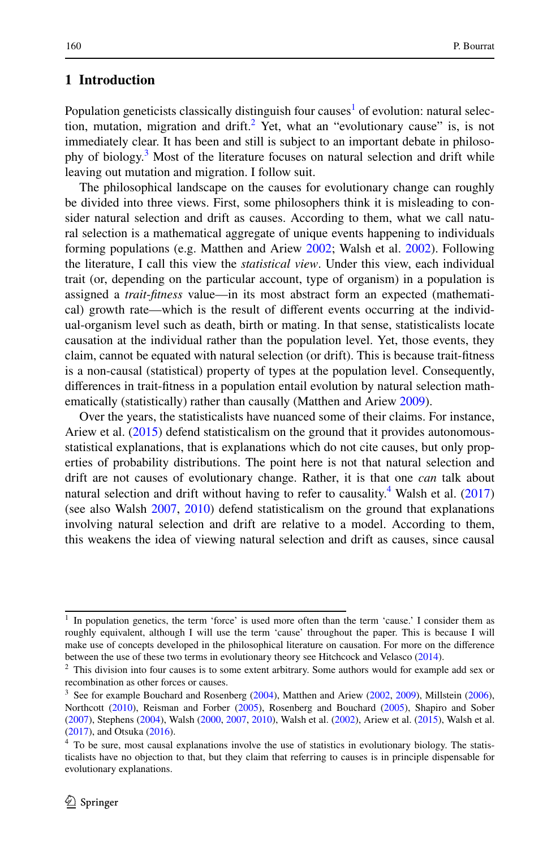# **1 Introduction**

Population geneticists classically distinguish four causes<sup>[1](#page-1-0)</sup> of evolution: natural selection, mutation, migration and drift.<sup>2</sup> Yet, what an "evolutionary cause" is, is not immediately clear. It has been and still is subject to an important debate in philosophy of biology.<sup>3</sup> Most of the literature focuses on natural selection and drift while leaving out mutation and migration. I follow suit.

The philosophical landscape on the causes for evolutionary change can roughly be divided into three views. First, some philosophers think it is misleading to consider natural selection and drift as causes. According to them, what we call natural selection is a mathematical aggregate of unique events happening to individuals forming populations (e.g. Matthen and Ariew [2002](#page-16-1); Walsh et al. [2002](#page-17-0)). Following the literature, I call this view the *statistical view*. Under this view, each individual trait (or, depending on the particular account, type of organism) in a population is assigned a *trait*-*ftness* value—in its most abstract form an expected (mathematical) growth rate—which is the result of diferent events occurring at the individual-organism level such as death, birth or mating. In that sense, statisticalists locate causation at the individual rather than the population level. Yet, those events, they claim, cannot be equated with natural selection (or drift). This is because trait-ftness is a non-causal (statistical) property of types at the population level. Consequently, diferences in trait-ftness in a population entail evolution by natural selection mathematically (statistically) rather than causally (Matthen and Ariew [2009\)](#page-16-2).

Over the years, the statisticalists have nuanced some of their claims. For instance, Ariew et al. [\(2015](#page-16-3)) defend statisticalism on the ground that it provides autonomousstatistical explanations, that is explanations which do not cite causes, but only properties of probability distributions. The point here is not that natural selection and drift are not causes of evolutionary change. Rather, it is that one *can* talk about natural selection and drift without having to refer to causality.<sup>[4](#page-1-3)</sup> Walsh et al.  $(2017)$  $(2017)$ (see also Walsh [2007,](#page-17-2) [2010\)](#page-17-3) defend statisticalism on the ground that explanations involving natural selection and drift are relative to a model. According to them, this weakens the idea of viewing natural selection and drift as causes, since causal

<span id="page-1-0"></span><sup>&</sup>lt;sup>1</sup> In population genetics, the term 'force' is used more often than the term 'cause.' I consider them as roughly equivalent, although I will use the term 'cause' throughout the paper. This is because I will make use of concepts developed in the philosophical literature on causation. For more on the diference between the use of these two terms in evolutionary theory see Hitchcock and Velasco [\(2014](#page-16-4)).

<span id="page-1-1"></span><sup>&</sup>lt;sup>2</sup> This division into four causes is to some extent arbitrary. Some authors would for example add sex or recombination as other forces or causes.

<span id="page-1-2"></span><sup>&</sup>lt;sup>3</sup> See for example Bouchard and Rosenberg ([2004\)](#page-16-5), Matthen and Ariew [\(2002](#page-16-1), [2009\)](#page-16-2), Millstein ([2006\)](#page-16-6), Northcott [\(2010](#page-16-7)), Reisman and Forber ([2005\)](#page-16-0), Rosenberg and Bouchard ([2005\)](#page-16-8), Shapiro and Sober ([2007\)](#page-17-4), Stephens [\(2004](#page-17-5)), Walsh [\(2000](#page-17-6), [2007,](#page-17-2) [2010\)](#page-17-3), Walsh et al. ([2002\)](#page-17-0), Ariew et al. ([2015\)](#page-16-3), Walsh et al. ([2017\)](#page-17-1), and Otsuka [\(2016](#page-16-9)).

<span id="page-1-3"></span><sup>4</sup> To be sure, most causal explanations involve the use of statistics in evolutionary biology. The statisticalists have no objection to that, but they claim that referring to causes is in principle dispensable for evolutionary explanations.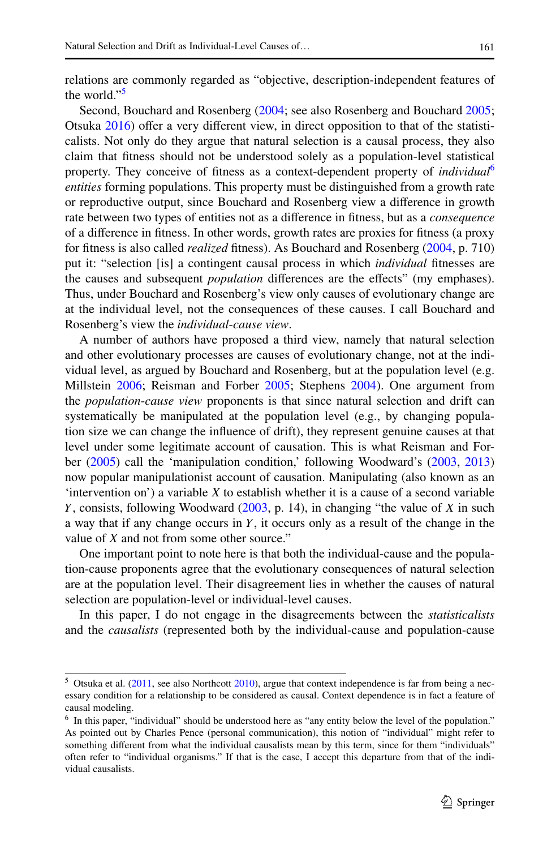relations are commonly regarded as "objective, description-independent features of the world."<sup>5</sup>

Second, Bouchard and Rosenberg [\(2004](#page-16-5); see also Rosenberg and Bouchard [2005;](#page-16-8) Otsuka  $2016$ ) offer a very different view, in direct opposition to that of the statisticalists. Not only do they argue that natural selection is a causal process, they also claim that ftness should not be understood solely as a population-level statistical property. They conceive of ftness as a context-dependent property of *individual*[6](#page-2-1) *entities* forming populations. This property must be distinguished from a growth rate or reproductive output, since Bouchard and Rosenberg view a diference in growth rate between two types of entities not as a diference in ftness, but as a *consequence* of a diference in ftness. In other words, growth rates are proxies for ftness (a proxy for ftness is also called *realized* ftness). As Bouchard and Rosenberg [\(2004](#page-16-5), p. 710) put it: "selection [is] a contingent causal process in which *individual* ftnesses are the causes and subsequent *population* differences are the effects" (my emphases). Thus, under Bouchard and Rosenberg's view only causes of evolutionary change are at the individual level, not the consequences of these causes. I call Bouchard and Rosenberg's view the *individual*-*cause view*.

A number of authors have proposed a third view, namely that natural selection and other evolutionary processes are causes of evolutionary change, not at the individual level, as argued by Bouchard and Rosenberg, but at the population level (e.g. Millstein [2006](#page-16-6); Reisman and Forber [2005;](#page-16-0) Stephens [2004\)](#page-17-5). One argument from the *population*-*cause view* proponents is that since natural selection and drift can systematically be manipulated at the population level (e.g., by changing population size we can change the infuence of drift), they represent genuine causes at that level under some legitimate account of causation. This is what Reisman and Forber ([2005\)](#page-16-0) call the 'manipulation condition,' following Woodward's ([2003,](#page-17-7) [2013](#page-17-8)) now popular manipulationist account of causation. Manipulating (also known as an 'intervention on') a variable *X* to establish whether it is a cause of a second variable *Y*, consists, following Woodward [\(2003](#page-17-7), p. 14), in changing "the value of *X* in such a way that if any change occurs in *Y*, it occurs only as a result of the change in the value of *X* and not from some other source."

One important point to note here is that both the individual-cause and the population-cause proponents agree that the evolutionary consequences of natural selection are at the population level. Their disagreement lies in whether the causes of natural selection are population-level or individual-level causes.

In this paper, I do not engage in the disagreements between the *statisticalists* and the *causalists* (represented both by the individual-cause and population-cause

<span id="page-2-0"></span> $5$  Otsuka et al. [\(2011](#page-16-10), see also Northcott [2010\)](#page-16-7), argue that context independence is far from being a necessary condition for a relationship to be considered as causal. Context dependence is in fact a feature of causal modeling.

<span id="page-2-1"></span><sup>&</sup>lt;sup>6</sup> In this paper, "individual" should be understood here as "any entity below the level of the population." As pointed out by Charles Pence (personal communication), this notion of "individual" might refer to something diferent from what the individual causalists mean by this term, since for them "individuals" often refer to "individual organisms." If that is the case, I accept this departure from that of the individual causalists.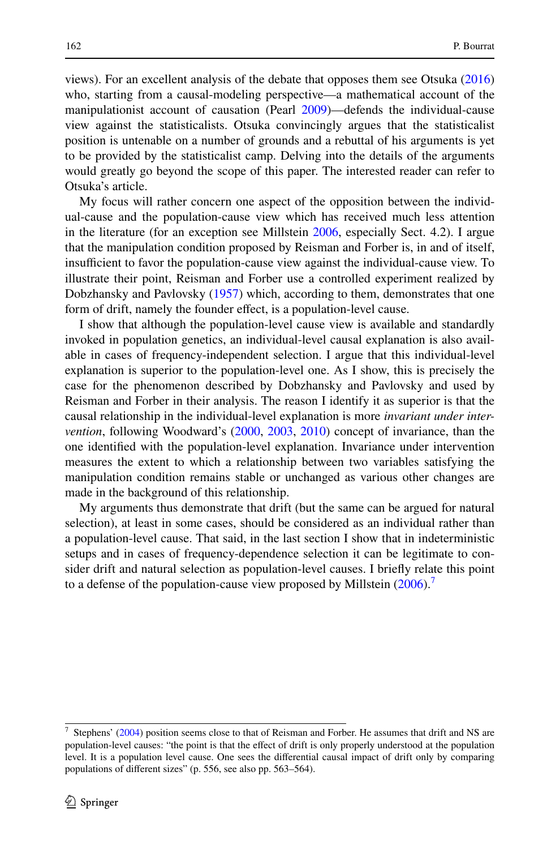views). For an excellent analysis of the debate that opposes them see Otsuka [\(2016](#page-16-9)) who, starting from a causal-modeling perspective—a mathematical account of the manipulationist account of causation (Pearl [2009\)](#page-16-11)—defends the individual-cause view against the statisticalists. Otsuka convincingly argues that the statisticalist position is untenable on a number of grounds and a rebuttal of his arguments is yet to be provided by the statisticalist camp. Delving into the details of the arguments would greatly go beyond the scope of this paper. The interested reader can refer to Otsuka's article.

My focus will rather concern one aspect of the opposition between the individual-cause and the population-cause view which has received much less attention in the literature (for an exception see Millstein [2006,](#page-16-6) especially Sect. 4.2). I argue that the manipulation condition proposed by Reisman and Forber is, in and of itself, insufficient to favor the population-cause view against the individual-cause view. To illustrate their point, Reisman and Forber use a controlled experiment realized by Dobzhansky and Pavlovsky [\(1957](#page-16-12)) which, according to them, demonstrates that one form of drift, namely the founder effect, is a population-level cause.

I show that although the population-level cause view is available and standardly invoked in population genetics, an individual-level causal explanation is also available in cases of frequency-independent selection. I argue that this individual-level explanation is superior to the population-level one. As I show, this is precisely the case for the phenomenon described by Dobzhansky and Pavlovsky and used by Reisman and Forber in their analysis. The reason I identify it as superior is that the causal relationship in the individual-level explanation is more *invariant under intervention*, following Woodward's [\(2000](#page-17-9), [2003](#page-17-7), [2010\)](#page-17-10) concept of invariance, than the one identifed with the population-level explanation. Invariance under intervention measures the extent to which a relationship between two variables satisfying the manipulation condition remains stable or unchanged as various other changes are made in the background of this relationship.

My arguments thus demonstrate that drift (but the same can be argued for natural selection), at least in some cases, should be considered as an individual rather than a population-level cause. That said, in the last section I show that in indeterministic setups and in cases of frequency-dependence selection it can be legitimate to consider drift and natural selection as population-level causes. I briefy relate this point to a defense of the population-cause view proposed by Millstein  $(2006)$  $(2006)$ .<sup>7</sup>

<span id="page-3-0"></span> $7$  Stephens' ([2004\)](#page-17-5) position seems close to that of Reisman and Forber. He assumes that drift and NS are population-level causes: "the point is that the efect of drift is only properly understood at the population level. It is a population level cause. One sees the diferential causal impact of drift only by comparing populations of diferent sizes" (p. 556, see also pp. 563–564).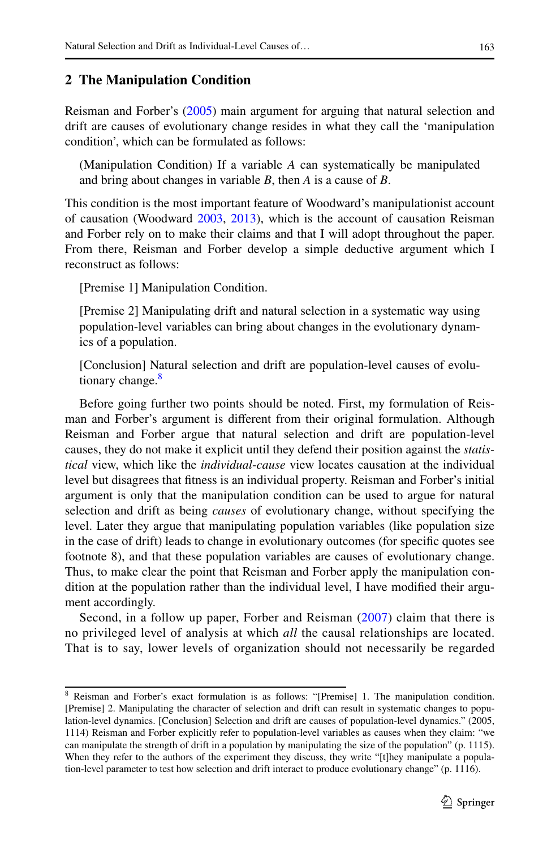#### **2 The Manipulation Condition**

Reisman and Forber's ([2005\)](#page-16-0) main argument for arguing that natural selection and drift are causes of evolutionary change resides in what they call the 'manipulation condition', which can be formulated as follows:

(Manipulation Condition) If a variable *A* can systematically be manipulated and bring about changes in variable *B*, then *A* is a cause of *B*.

This condition is the most important feature of Woodward's manipulationist account of causation (Woodward [2003](#page-17-7), [2013](#page-17-8)), which is the account of causation Reisman and Forber rely on to make their claims and that I will adopt throughout the paper. From there, Reisman and Forber develop a simple deductive argument which I reconstruct as follows:

[Premise 1] Manipulation Condition.

[Premise 2] Manipulating drift and natural selection in a systematic way using population-level variables can bring about changes in the evolutionary dynamics of a population.

[Conclusion] Natural selection and drift are population-level causes of evolutionary change. $\frac{8}{3}$  $\frac{8}{3}$  $\frac{8}{3}$ 

Before going further two points should be noted. First, my formulation of Reisman and Forber's argument is diferent from their original formulation. Although Reisman and Forber argue that natural selection and drift are population-level causes, they do not make it explicit until they defend their position against the *statistical* view, which like the *individual*-*cause* view locates causation at the individual level but disagrees that ftness is an individual property. Reisman and Forber's initial argument is only that the manipulation condition can be used to argue for natural selection and drift as being *causes* of evolutionary change, without specifying the level. Later they argue that manipulating population variables (like population size in the case of drift) leads to change in evolutionary outcomes (for specifc quotes see footnote 8), and that these population variables are causes of evolutionary change. Thus, to make clear the point that Reisman and Forber apply the manipulation condition at the population rather than the individual level, I have modifed their argument accordingly.

Second, in a follow up paper, Forber and Reisman ([2007\)](#page-16-13) claim that there is no privileged level of analysis at which *all* the causal relationships are located. That is to say, lower levels of organization should not necessarily be regarded

<span id="page-4-0"></span><sup>8</sup> Reisman and Forber's exact formulation is as follows: "[Premise] 1. The manipulation condition. [Premise] 2. Manipulating the character of selection and drift can result in systematic changes to population-level dynamics. [Conclusion] Selection and drift are causes of population-level dynamics." (2005, 1114) Reisman and Forber explicitly refer to population-level variables as causes when they claim: "we can manipulate the strength of drift in a population by manipulating the size of the population" (p. 1115). When they refer to the authors of the experiment they discuss, they write "[t]hey manipulate a population-level parameter to test how selection and drift interact to produce evolutionary change" (p. 1116).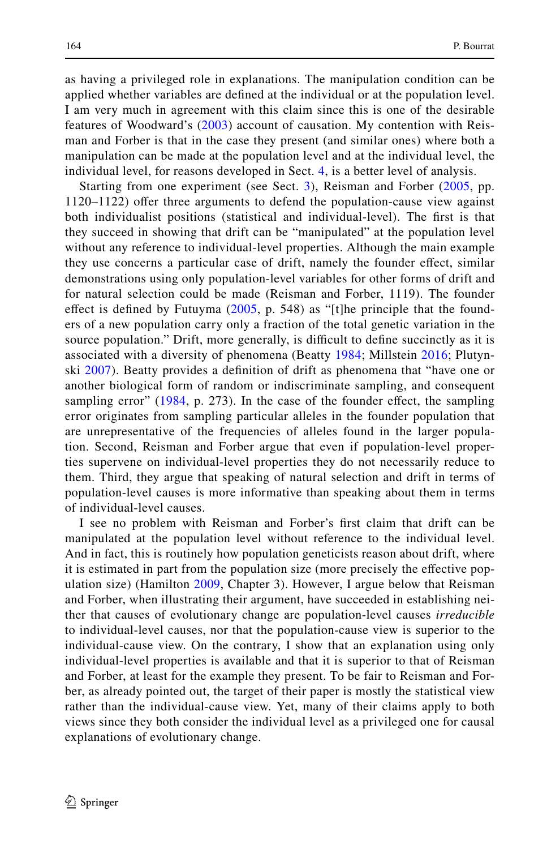as having a privileged role in explanations. The manipulation condition can be applied whether variables are defned at the individual or at the population level. I am very much in agreement with this claim since this is one of the desirable features of Woodward's [\(2003](#page-17-7)) account of causation. My contention with Reisman and Forber is that in the case they present (and similar ones) where both a manipulation can be made at the population level and at the individual level, the individual level, for reasons developed in Sect. [4](#page-10-0), is a better level of analysis.

Starting from one experiment (see Sect. [3\)](#page-6-0), Reisman and Forber ([2005,](#page-16-0) pp. 1120–1122) ofer three arguments to defend the population-cause view against both individualist positions (statistical and individual-level). The frst is that they succeed in showing that drift can be "manipulated" at the population level without any reference to individual-level properties. Although the main example they use concerns a particular case of drift, namely the founder efect, similar demonstrations using only population-level variables for other forms of drift and for natural selection could be made (Reisman and Forber, 1119). The founder efect is defned by Futuyma ([2005,](#page-16-14) p. 548) as "[t]he principle that the founders of a new population carry only a fraction of the total genetic variation in the source population." Drift, more generally, is difficult to define succinctly as it is associated with a diversity of phenomena (Beatty [1984;](#page-16-15) Millstein [2016;](#page-16-16) Plutynski [2007](#page-16-17)). Beatty provides a defnition of drift as phenomena that "have one or another biological form of random or indiscriminate sampling, and consequent sampling error" [\(1984](#page-16-15), p. 273). In the case of the founder efect, the sampling error originates from sampling particular alleles in the founder population that are unrepresentative of the frequencies of alleles found in the larger population. Second, Reisman and Forber argue that even if population-level properties supervene on individual-level properties they do not necessarily reduce to them. Third, they argue that speaking of natural selection and drift in terms of population-level causes is more informative than speaking about them in terms of individual-level causes.

I see no problem with Reisman and Forber's frst claim that drift can be manipulated at the population level without reference to the individual level. And in fact, this is routinely how population geneticists reason about drift, where it is estimated in part from the population size (more precisely the efective pop-ulation size) (Hamilton [2009](#page-16-18), Chapter 3). However, I argue below that Reisman and Forber, when illustrating their argument, have succeeded in establishing neither that causes of evolutionary change are population-level causes *irreducible* to individual-level causes, nor that the population-cause view is superior to the individual-cause view. On the contrary, I show that an explanation using only individual-level properties is available and that it is superior to that of Reisman and Forber, at least for the example they present. To be fair to Reisman and Forber, as already pointed out, the target of their paper is mostly the statistical view rather than the individual-cause view. Yet, many of their claims apply to both views since they both consider the individual level as a privileged one for causal explanations of evolutionary change.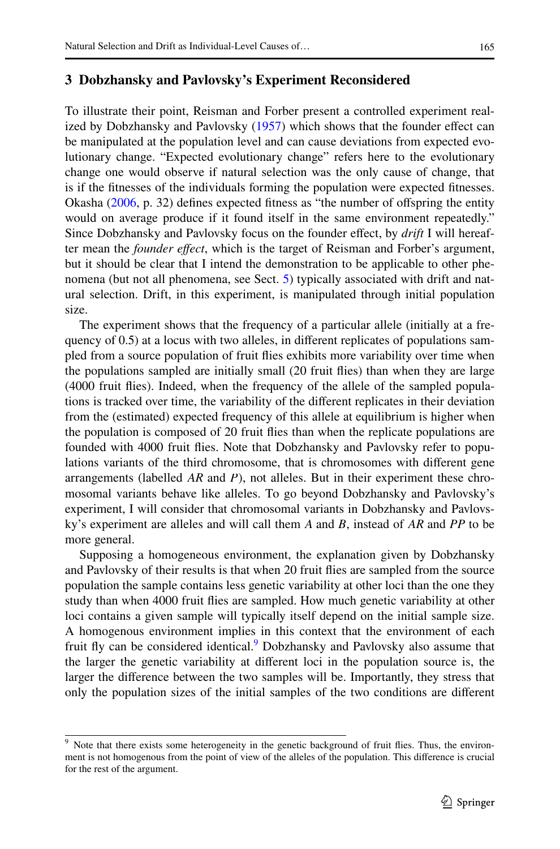#### <span id="page-6-0"></span>**3 Dobzhansky and Pavlovsky's Experiment Reconsidered**

To illustrate their point, Reisman and Forber present a controlled experiment realized by Dobzhansky and Pavlovsky ([1957\)](#page-16-12) which shows that the founder efect can be manipulated at the population level and can cause deviations from expected evolutionary change. "Expected evolutionary change" refers here to the evolutionary change one would observe if natural selection was the only cause of change, that is if the ftnesses of the individuals forming the population were expected ftnesses. Okasha [\(2006](#page-16-19), p. 32) defines expected fitness as "the number of offspring the entity would on average produce if it found itself in the same environment repeatedly." Since Dobzhansky and Pavlovsky focus on the founder efect, by *drift* I will hereafter mean the *founder efect*, which is the target of Reisman and Forber's argument, but it should be clear that I intend the demonstration to be applicable to other phenomena (but not all phenomena, see Sect. [5](#page-15-0)) typically associated with drift and natural selection. Drift, in this experiment, is manipulated through initial population size.

The experiment shows that the frequency of a particular allele (initially at a frequency of 0.5) at a locus with two alleles, in diferent replicates of populations sampled from a source population of fruit fies exhibits more variability over time when the populations sampled are initially small (20 fruit fies) than when they are large (4000 fruit fies). Indeed, when the frequency of the allele of the sampled populations is tracked over time, the variability of the diferent replicates in their deviation from the (estimated) expected frequency of this allele at equilibrium is higher when the population is composed of 20 fruit fies than when the replicate populations are founded with 4000 fruit fies. Note that Dobzhansky and Pavlovsky refer to populations variants of the third chromosome, that is chromosomes with diferent gene arrangements (labelled *AR* and *P*), not alleles. But in their experiment these chromosomal variants behave like alleles. To go beyond Dobzhansky and Pavlovsky's experiment, I will consider that chromosomal variants in Dobzhansky and Pavlovsky's experiment are alleles and will call them *A* and *B*, instead of *AR* and *PP* to be more general.

Supposing a homogeneous environment, the explanation given by Dobzhansky and Pavlovsky of their results is that when 20 fruit fies are sampled from the source population the sample contains less genetic variability at other loci than the one they study than when 4000 fruit fies are sampled. How much genetic variability at other loci contains a given sample will typically itself depend on the initial sample size. A homogenous environment implies in this context that the environment of each fruit fly can be considered identical.<sup>9</sup> Dobzhansky and Pavlovsky also assume that the larger the genetic variability at diferent loci in the population source is, the larger the diference between the two samples will be. Importantly, they stress that only the population sizes of the initial samples of the two conditions are diferent

<span id="page-6-1"></span><sup>&</sup>lt;sup>9</sup> Note that there exists some heterogeneity in the genetic background of fruit flies. Thus, the environment is not homogenous from the point of view of the alleles of the population. This diference is crucial for the rest of the argument.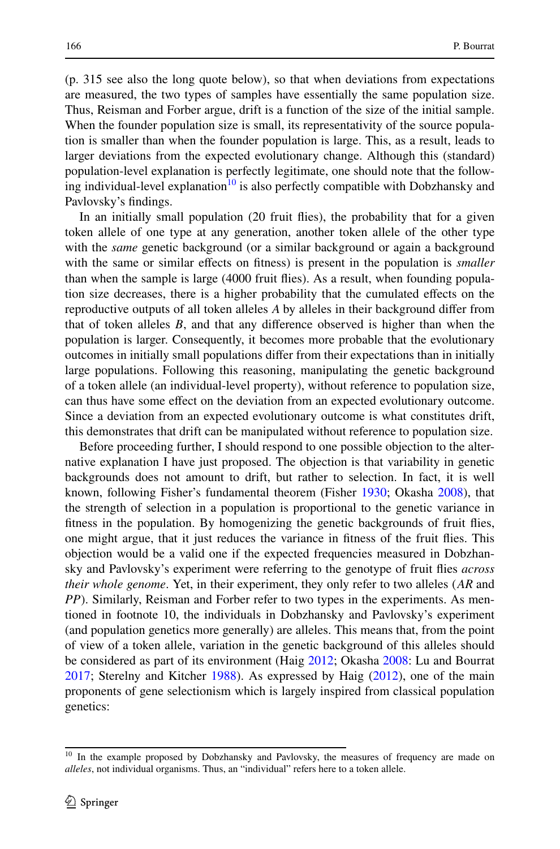(p. 315 see also the long quote below), so that when deviations from expectations are measured, the two types of samples have essentially the same population size. Thus, Reisman and Forber argue, drift is a function of the size of the initial sample. When the founder population size is small, its representativity of the source population is smaller than when the founder population is large. This, as a result, leads to larger deviations from the expected evolutionary change. Although this (standard) population-level explanation is perfectly legitimate, one should note that the following individual-level explanation<sup>10</sup> is also perfectly compatible with Dobzhansky and Pavlovsky's fndings.

In an initially small population (20 fruit fies), the probability that for a given token allele of one type at any generation, another token allele of the other type with the *same* genetic background (or a similar background or again a background with the same or similar efects on ftness) is present in the population is *smaller* than when the sample is large (4000 fruit fies). As a result, when founding population size decreases, there is a higher probability that the cumulated efects on the reproductive outputs of all token alleles *A* by alleles in their background difer from that of token alleles *B*, and that any diference observed is higher than when the population is larger. Consequently, it becomes more probable that the evolutionary outcomes in initially small populations difer from their expectations than in initially large populations. Following this reasoning, manipulating the genetic background of a token allele (an individual-level property), without reference to population size, can thus have some efect on the deviation from an expected evolutionary outcome. Since a deviation from an expected evolutionary outcome is what constitutes drift, this demonstrates that drift can be manipulated without reference to population size.

Before proceeding further, I should respond to one possible objection to the alternative explanation I have just proposed. The objection is that variability in genetic backgrounds does not amount to drift, but rather to selection. In fact, it is well known, following Fisher's fundamental theorem (Fisher [1930;](#page-16-20) Okasha [2008\)](#page-16-21), that the strength of selection in a population is proportional to the genetic variance in ftness in the population. By homogenizing the genetic backgrounds of fruit fies, one might argue, that it just reduces the variance in ftness of the fruit fies. This objection would be a valid one if the expected frequencies measured in Dobzhansky and Pavlovsky's experiment were referring to the genotype of fruit fies *across their whole genome*. Yet, in their experiment, they only refer to two alleles (*AR* and *PP*). Similarly, Reisman and Forber refer to two types in the experiments. As mentioned in footnote 10, the individuals in Dobzhansky and Pavlovsky's experiment (and population genetics more generally) are alleles. This means that, from the point of view of a token allele, variation in the genetic background of this alleles should be considered as part of its environment (Haig [2012;](#page-16-22) Okasha [2008:](#page-16-21) Lu and Bourrat [2017](#page-16-23); Sterelny and Kitcher [1988\)](#page-17-11). As expressed by Haig ([2012\)](#page-16-22), one of the main proponents of gene selectionism which is largely inspired from classical population genetics:

<span id="page-7-0"></span><sup>&</sup>lt;sup>10</sup> In the example proposed by Dobzhansky and Pavlovsky, the measures of frequency are made on *alleles*, not individual organisms. Thus, an "individual" refers here to a token allele.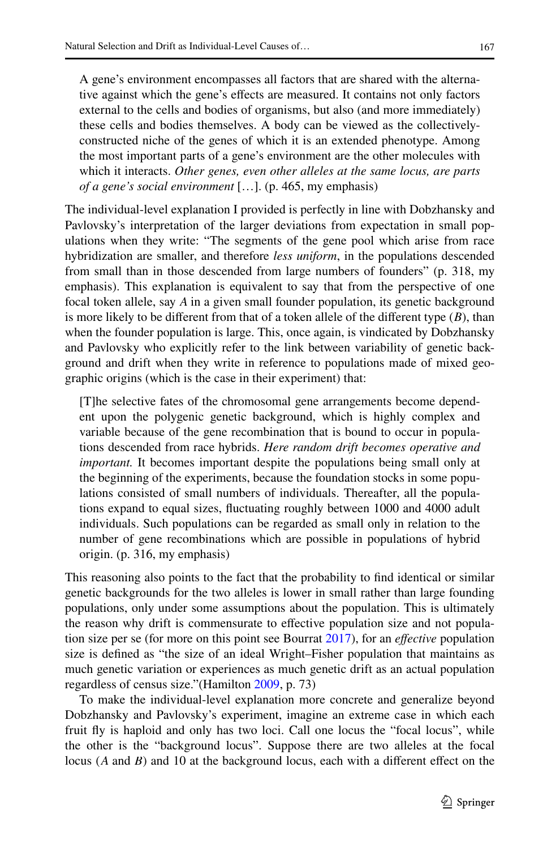A gene's environment encompasses all factors that are shared with the alternative against which the gene's efects are measured. It contains not only factors external to the cells and bodies of organisms, but also (and more immediately) these cells and bodies themselves. A body can be viewed as the collectivelyconstructed niche of the genes of which it is an extended phenotype. Among the most important parts of a gene's environment are the other molecules with which it interacts. *Other genes, even other alleles at the same locus, are parts of a gene's social environment* […]. (p. 465, my emphasis)

The individual-level explanation I provided is perfectly in line with Dobzhansky and Pavlovsky's interpretation of the larger deviations from expectation in small populations when they write: "The segments of the gene pool which arise from race hybridization are smaller, and therefore *less uniform*, in the populations descended from small than in those descended from large numbers of founders" (p. 318, my emphasis). This explanation is equivalent to say that from the perspective of one focal token allele, say *A* in a given small founder population, its genetic background is more likely to be diferent from that of a token allele of the diferent type (*B*), than when the founder population is large. This, once again, is vindicated by Dobzhansky and Pavlovsky who explicitly refer to the link between variability of genetic background and drift when they write in reference to populations made of mixed geographic origins (which is the case in their experiment) that:

[T]he selective fates of the chromosomal gene arrangements become dependent upon the polygenic genetic background, which is highly complex and variable because of the gene recombination that is bound to occur in populations descended from race hybrids. *Here random drift becomes operative and important.* It becomes important despite the populations being small only at the beginning of the experiments, because the foundation stocks in some populations consisted of small numbers of individuals. Thereafter, all the populations expand to equal sizes, fuctuating roughly between 1000 and 4000 adult individuals. Such populations can be regarded as small only in relation to the number of gene recombinations which are possible in populations of hybrid origin. (p. 316, my emphasis)

This reasoning also points to the fact that the probability to fnd identical or similar genetic backgrounds for the two alleles is lower in small rather than large founding populations, only under some assumptions about the population. This is ultimately the reason why drift is commensurate to efective population size and not population size per se (for more on this point see Bourrat [2017\)](#page-16-24), for an *efective* population size is defned as "the size of an ideal Wright–Fisher population that maintains as much genetic variation or experiences as much genetic drift as an actual population regardless of census size."(Hamilton [2009,](#page-16-18) p. 73)

To make the individual-level explanation more concrete and generalize beyond Dobzhansky and Pavlovsky's experiment, imagine an extreme case in which each fruit fy is haploid and only has two loci. Call one locus the "focal locus", while the other is the "background locus". Suppose there are two alleles at the focal locus (*A* and *B*) and 10 at the background locus, each with a different effect on the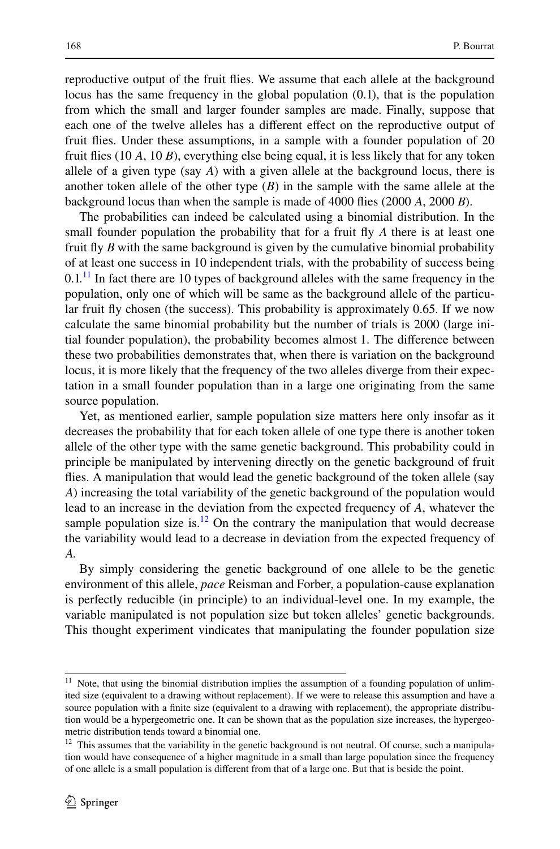reproductive output of the fruit fies. We assume that each allele at the background locus has the same frequency in the global population (0.1), that is the population from which the small and larger founder samples are made. Finally, suppose that each one of the twelve alleles has a diferent efect on the reproductive output of fruit fies. Under these assumptions, in a sample with a founder population of 20 fruit fies (10 *A*, 10 *B*), everything else being equal, it is less likely that for any token allele of a given type (say *A*) with a given allele at the background locus, there is another token allele of the other type  $(B)$  in the sample with the same allele at the background locus than when the sample is made of 4000 fies (2000 *A*, 2000 *B*).

The probabilities can indeed be calculated using a binomial distribution. In the small founder population the probability that for a fruit fy *A* there is at least one fruit fy *B* with the same background is given by the cumulative binomial probability of at least one success in 10 independent trials, with the probability of success being  $0.1<sup>11</sup>$  In fact there are 10 types of background alleles with the same frequency in the population, only one of which will be same as the background allele of the particular fruit fy chosen (the success). This probability is approximately 0.65. If we now calculate the same binomial probability but the number of trials is 2000 (large initial founder population), the probability becomes almost 1. The diference between these two probabilities demonstrates that, when there is variation on the background locus, it is more likely that the frequency of the two alleles diverge from their expectation in a small founder population than in a large one originating from the same source population.

Yet, as mentioned earlier, sample population size matters here only insofar as it decreases the probability that for each token allele of one type there is another token allele of the other type with the same genetic background. This probability could in principle be manipulated by intervening directly on the genetic background of fruit fies. A manipulation that would lead the genetic background of the token allele (say *A*) increasing the total variability of the genetic background of the population would lead to an increase in the deviation from the expected frequency of *A*, whatever the sample population size is.<sup>12</sup> On the contrary the manipulation that would decrease the variability would lead to a decrease in deviation from the expected frequency of *A*.

By simply considering the genetic background of one allele to be the genetic environment of this allele, *pace* Reisman and Forber, a population-cause explanation is perfectly reducible (in principle) to an individual-level one. In my example, the variable manipulated is not population size but token alleles' genetic backgrounds. This thought experiment vindicates that manipulating the founder population size

<span id="page-9-0"></span><sup>&</sup>lt;sup>11</sup> Note, that using the binomial distribution implies the assumption of a founding population of unlimited size (equivalent to a drawing without replacement). If we were to release this assumption and have a source population with a fnite size (equivalent to a drawing with replacement), the appropriate distribution would be a hypergeometric one. It can be shown that as the population size increases, the hypergeometric distribution tends toward a binomial one.

<span id="page-9-1"></span><sup>&</sup>lt;sup>12</sup> This assumes that the variability in the genetic background is not neutral. Of course, such a manipulation would have consequence of a higher magnitude in a small than large population since the frequency of one allele is a small population is diferent from that of a large one. But that is beside the point.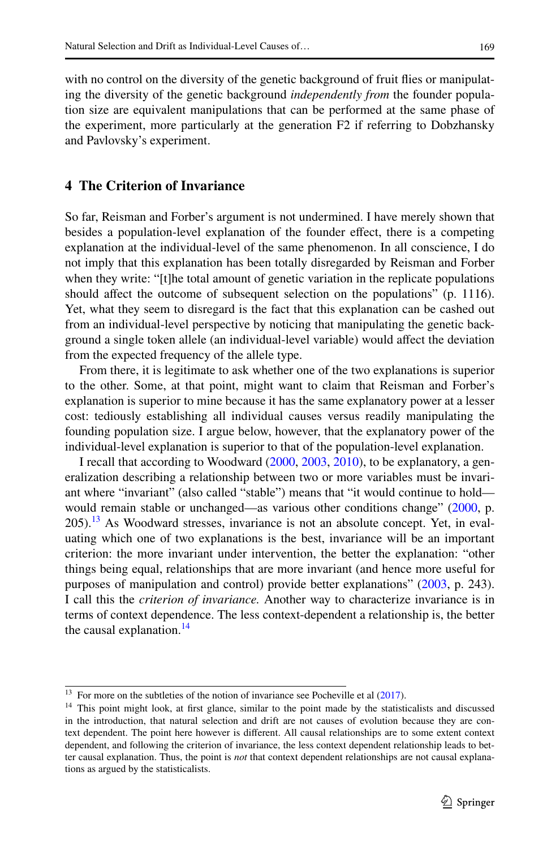with no control on the diversity of the genetic background of fruit fies or manipulating the diversity of the genetic background *independently from* the founder population size are equivalent manipulations that can be performed at the same phase of the experiment, more particularly at the generation F2 if referring to Dobzhansky and Pavlovsky's experiment.

# <span id="page-10-0"></span>**4 The Criterion of Invariance**

So far, Reisman and Forber's argument is not undermined. I have merely shown that besides a population-level explanation of the founder efect, there is a competing explanation at the individual-level of the same phenomenon. In all conscience, I do not imply that this explanation has been totally disregarded by Reisman and Forber when they write: "[t]he total amount of genetic variation in the replicate populations should affect the outcome of subsequent selection on the populations" (p. 1116). Yet, what they seem to disregard is the fact that this explanation can be cashed out from an individual-level perspective by noticing that manipulating the genetic background a single token allele (an individual-level variable) would afect the deviation from the expected frequency of the allele type.

From there, it is legitimate to ask whether one of the two explanations is superior to the other. Some, at that point, might want to claim that Reisman and Forber's explanation is superior to mine because it has the same explanatory power at a lesser cost: tediously establishing all individual causes versus readily manipulating the founding population size. I argue below, however, that the explanatory power of the individual-level explanation is superior to that of the population-level explanation.

I recall that according to Woodward ([2000,](#page-17-9) [2003,](#page-17-7) [2010\)](#page-17-10), to be explanatory, a generalization describing a relationship between two or more variables must be invariant where "invariant" (also called "stable") means that "it would continue to hold would remain stable or unchanged—as various other conditions change" ([2000,](#page-17-9) p.  $205$ .<sup>13</sup> As Woodward stresses, invariance is not an absolute concept. Yet, in evaluating which one of two explanations is the best, invariance will be an important criterion: the more invariant under intervention, the better the explanation: "other things being equal, relationships that are more invariant (and hence more useful for purposes of manipulation and control) provide better explanations" [\(2003](#page-17-7), p. 243). I call this the *criterion of invariance.* Another way to characterize invariance is in terms of context dependence. The less context-dependent a relationship is, the better the causal explanation. $^{14}$ 

<span id="page-10-1"></span><sup>&</sup>lt;sup>13</sup> For more on the subtleties of the notion of invariance see Pocheville et al  $(2017)$  $(2017)$ .

<span id="page-10-2"></span><sup>&</sup>lt;sup>14</sup> This point might look, at first glance, similar to the point made by the statisticalists and discussed in the introduction, that natural selection and drift are not causes of evolution because they are context dependent. The point here however is diferent. All causal relationships are to some extent context dependent, and following the criterion of invariance, the less context dependent relationship leads to better causal explanation. Thus, the point is *not* that context dependent relationships are not causal explanations as argued by the statisticalists.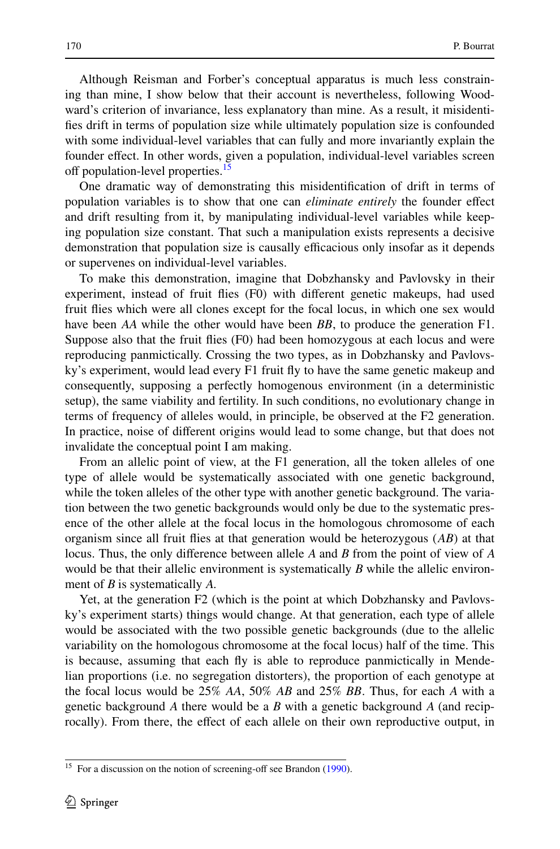Although Reisman and Forber's conceptual apparatus is much less constraining than mine, I show below that their account is nevertheless, following Woodward's criterion of invariance, less explanatory than mine. As a result, it misidentifes drift in terms of population size while ultimately population size is confounded with some individual-level variables that can fully and more invariantly explain the founder efect. In other words, given a population, individual-level variables screen off population-level properties.<sup>[15](#page-11-0)</sup>

One dramatic way of demonstrating this misidentifcation of drift in terms of population variables is to show that one can *eliminate entirely* the founder efect and drift resulting from it, by manipulating individual-level variables while keeping population size constant. That such a manipulation exists represents a decisive demonstration that population size is causally efficacious only insofar as it depends or supervenes on individual-level variables.

To make this demonstration, imagine that Dobzhansky and Pavlovsky in their experiment, instead of fruit fies (F0) with diferent genetic makeups, had used fruit fies which were all clones except for the focal locus, in which one sex would have been *AA* while the other would have been *BB*, to produce the generation F1. Suppose also that the fruit fies (F0) had been homozygous at each locus and were reproducing panmictically. Crossing the two types, as in Dobzhansky and Pavlovsky's experiment, would lead every F1 fruit fy to have the same genetic makeup and consequently, supposing a perfectly homogenous environment (in a deterministic setup), the same viability and fertility. In such conditions, no evolutionary change in terms of frequency of alleles would, in principle, be observed at the F2 generation. In practice, noise of diferent origins would lead to some change, but that does not invalidate the conceptual point I am making.

From an allelic point of view, at the F1 generation, all the token alleles of one type of allele would be systematically associated with one genetic background, while the token alleles of the other type with another genetic background. The variation between the two genetic backgrounds would only be due to the systematic presence of the other allele at the focal locus in the homologous chromosome of each organism since all fruit fies at that generation would be heterozygous (*AB*) at that locus. Thus, the only diference between allele *A* and *B* from the point of view of *A* would be that their allelic environment is systematically *B* while the allelic environment of *B* is systematically *A*.

Yet, at the generation F2 (which is the point at which Dobzhansky and Pavlovsky's experiment starts) things would change. At that generation, each type of allele would be associated with the two possible genetic backgrounds (due to the allelic variability on the homologous chromosome at the focal locus) half of the time. This is because, assuming that each fy is able to reproduce panmictically in Mendelian proportions (i.e. no segregation distorters), the proportion of each genotype at the focal locus would be 25% *AA*, 50% *AB* and 25% *BB*. Thus, for each *A* with a genetic background *A* there would be a *B* with a genetic background *A* (and reciprocally). From there, the effect of each allele on their own reproductive output, in

<span id="page-11-0"></span> $15$  For a discussion on the notion of screening-off see Brandon [\(1990](#page-16-26)).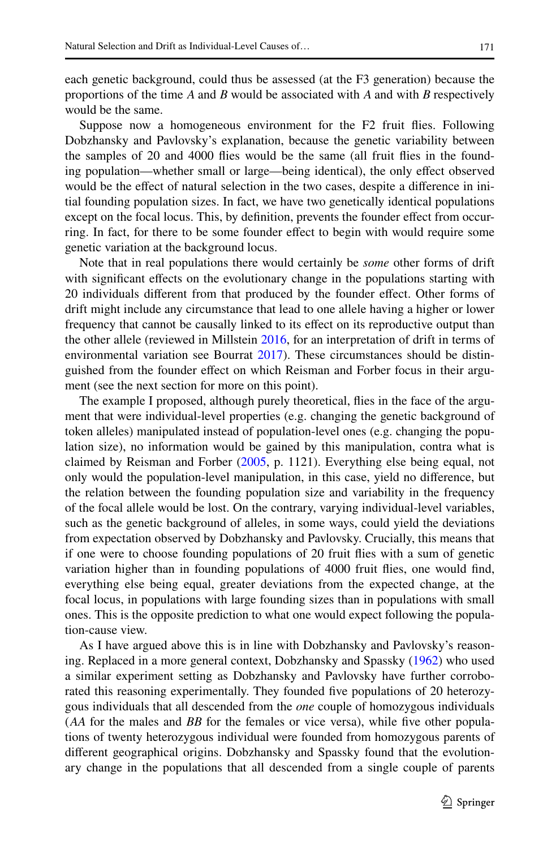each genetic background, could thus be assessed (at the F3 generation) because the proportions of the time *A* and *B* would be associated with *A* and with *B* respectively would be the same.

Suppose now a homogeneous environment for the F2 fruit fies. Following Dobzhansky and Pavlovsky's explanation, because the genetic variability between the samples of 20 and 4000 fies would be the same (all fruit fies in the founding population—whether small or large—being identical), the only efect observed would be the efect of natural selection in the two cases, despite a diference in initial founding population sizes. In fact, we have two genetically identical populations except on the focal locus. This, by defnition, prevents the founder efect from occurring. In fact, for there to be some founder effect to begin with would require some genetic variation at the background locus.

Note that in real populations there would certainly be *some* other forms of drift with significant effects on the evolutionary change in the populations starting with 20 individuals diferent from that produced by the founder efect. Other forms of drift might include any circumstance that lead to one allele having a higher or lower frequency that cannot be causally linked to its effect on its reproductive output than the other allele (reviewed in Millstein [2016,](#page-16-16) for an interpretation of drift in terms of environmental variation see Bourrat [2017](#page-16-24)). These circumstances should be distinguished from the founder efect on which Reisman and Forber focus in their argument (see the next section for more on this point).

The example I proposed, although purely theoretical, fies in the face of the argument that were individual-level properties (e.g. changing the genetic background of token alleles) manipulated instead of population-level ones (e.g. changing the population size), no information would be gained by this manipulation, contra what is claimed by Reisman and Forber [\(2005](#page-16-0), p. 1121). Everything else being equal, not only would the population-level manipulation, in this case, yield no diference, but the relation between the founding population size and variability in the frequency of the focal allele would be lost. On the contrary, varying individual-level variables, such as the genetic background of alleles, in some ways, could yield the deviations from expectation observed by Dobzhansky and Pavlovsky. Crucially, this means that if one were to choose founding populations of 20 fruit fies with a sum of genetic variation higher than in founding populations of 4000 fruit fies, one would fnd, everything else being equal, greater deviations from the expected change, at the focal locus, in populations with large founding sizes than in populations with small ones. This is the opposite prediction to what one would expect following the population-cause view.

As I have argued above this is in line with Dobzhansky and Pavlovsky's reasoning. Replaced in a more general context, Dobzhansky and Spassky [\(1962](#page-16-27)) who used a similar experiment setting as Dobzhansky and Pavlovsky have further corroborated this reasoning experimentally. They founded five populations of 20 heterozygous individuals that all descended from the *one* couple of homozygous individuals (*AA* for the males and *BB* for the females or vice versa), while five other populations of twenty heterozygous individual were founded from homozygous parents of diferent geographical origins. Dobzhansky and Spassky found that the evolutionary change in the populations that all descended from a single couple of parents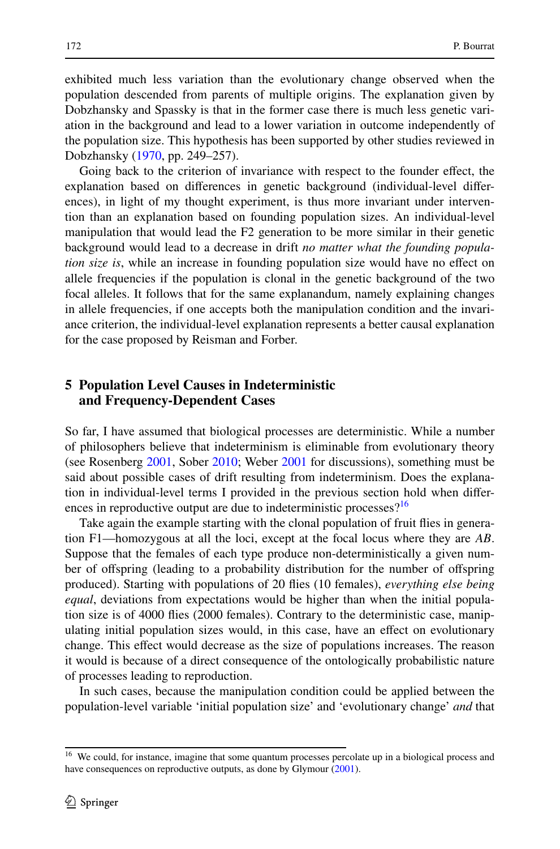exhibited much less variation than the evolutionary change observed when the population descended from parents of multiple origins. The explanation given by Dobzhansky and Spassky is that in the former case there is much less genetic variation in the background and lead to a lower variation in outcome independently of the population size. This hypothesis has been supported by other studies reviewed in Dobzhansky ([1970,](#page-16-28) pp. 249–257).

Going back to the criterion of invariance with respect to the founder efect, the explanation based on diferences in genetic background (individual-level diferences), in light of my thought experiment, is thus more invariant under intervention than an explanation based on founding population sizes. An individual-level manipulation that would lead the F2 generation to be more similar in their genetic background would lead to a decrease in drift *no matter what the founding population size is*, while an increase in founding population size would have no efect on allele frequencies if the population is clonal in the genetic background of the two focal alleles. It follows that for the same explanandum, namely explaining changes in allele frequencies, if one accepts both the manipulation condition and the invariance criterion, the individual-level explanation represents a better causal explanation for the case proposed by Reisman and Forber.

# **5 Population Level Causes in Indeterministic and Frequency‑Dependent Cases**

So far, I have assumed that biological processes are deterministic. While a number of philosophers believe that indeterminism is eliminable from evolutionary theory (see Rosenberg [2001](#page-16-29), Sober [2010;](#page-17-12) Weber [2001](#page-17-13) for discussions), something must be said about possible cases of drift resulting from indeterminism. Does the explanation in individual-level terms I provided in the previous section hold when diferences in reproductive output are due to indeterministic processes? $16$ 

Take again the example starting with the clonal population of fruit fies in generation F1—homozygous at all the loci, except at the focal locus where they are *AB*. Suppose that the females of each type produce non-deterministically a given number of ofspring (leading to a probability distribution for the number of ofspring produced). Starting with populations of 20 fies (10 females), *everything else being equal*, deviations from expectations would be higher than when the initial population size is of 4000 fies (2000 females). Contrary to the deterministic case, manipulating initial population sizes would, in this case, have an efect on evolutionary change. This efect would decrease as the size of populations increases. The reason it would is because of a direct consequence of the ontologically probabilistic nature of processes leading to reproduction.

In such cases, because the manipulation condition could be applied between the population-level variable 'initial population size' and 'evolutionary change' *and* that

<span id="page-13-0"></span><sup>&</sup>lt;sup>16</sup> We could, for instance, imagine that some quantum processes percolate up in a biological process and have consequences on reproductive outputs, as done by Glymour ([2001\)](#page-16-30).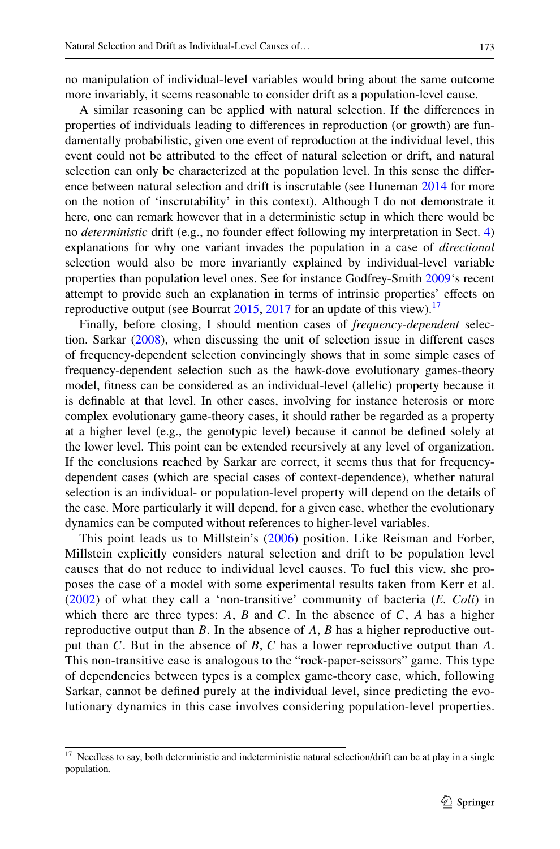no manipulation of individual-level variables would bring about the same outcome more invariably, it seems reasonable to consider drift as a population-level cause.

A similar reasoning can be applied with natural selection. If the diferences in properties of individuals leading to diferences in reproduction (or growth) are fundamentally probabilistic, given one event of reproduction at the individual level, this event could not be attributed to the efect of natural selection or drift, and natural selection can only be characterized at the population level. In this sense the diference between natural selection and drift is inscrutable (see Huneman [2014](#page-16-31) for more on the notion of 'inscrutability' in this context). Although I do not demonstrate it here, one can remark however that in a deterministic setup in which there would be no *deterministic* drift (e.g., no founder efect following my interpretation in Sect. [4](#page-10-0)) explanations for why one variant invades the population in a case of *directional* selection would also be more invariantly explained by individual-level variable properties than population level ones. See for instance Godfrey-Smith [2009](#page-16-32)'s recent attempt to provide such an explanation in terms of intrinsic properties' efects on reproductive output (see Bourrat  $2015$ ,  $2017$  for an update of this view).<sup>17</sup>

Finally, before closing, I should mention cases of *frequency*-*dependent* selection. Sarkar [\(2008](#page-17-14)), when discussing the unit of selection issue in diferent cases of frequency-dependent selection convincingly shows that in some simple cases of frequency-dependent selection such as the hawk-dove evolutionary games-theory model, ftness can be considered as an individual-level (allelic) property because it is defnable at that level. In other cases, involving for instance heterosis or more complex evolutionary game-theory cases, it should rather be regarded as a property at a higher level (e.g., the genotypic level) because it cannot be defned solely at the lower level. This point can be extended recursively at any level of organization. If the conclusions reached by Sarkar are correct, it seems thus that for frequencydependent cases (which are special cases of context-dependence), whether natural selection is an individual- or population-level property will depend on the details of the case. More particularly it will depend, for a given case, whether the evolutionary dynamics can be computed without references to higher-level variables.

This point leads us to Millstein's [\(2006\)](#page-16-6) position. Like Reisman and Forber, Millstein explicitly considers natural selection and drift to be population level causes that do not reduce to individual level causes. To fuel this view, she proposes the case of a model with some experimental results taken from Kerr et al. [\(2002](#page-16-34)) of what they call a 'non-transitive' community of bacteria (*E. Coli*) in which there are three types: *A*, *B* and *C*. In the absence of *C*, *A* has a higher reproductive output than *B*. In the absence of *A*, *B* has a higher reproductive output than *C*. But in the absence of *B*, *C* has a lower reproductive output than *A*. This non-transitive case is analogous to the "rock-paper-scissors" game. This type of dependencies between types is a complex game-theory case, which, following Sarkar, cannot be defned purely at the individual level, since predicting the evolutionary dynamics in this case involves considering population-level properties.

<span id="page-14-0"></span><sup>&</sup>lt;sup>17</sup> Needless to say, both deterministic and indeterministic natural selection/drift can be at play in a single population.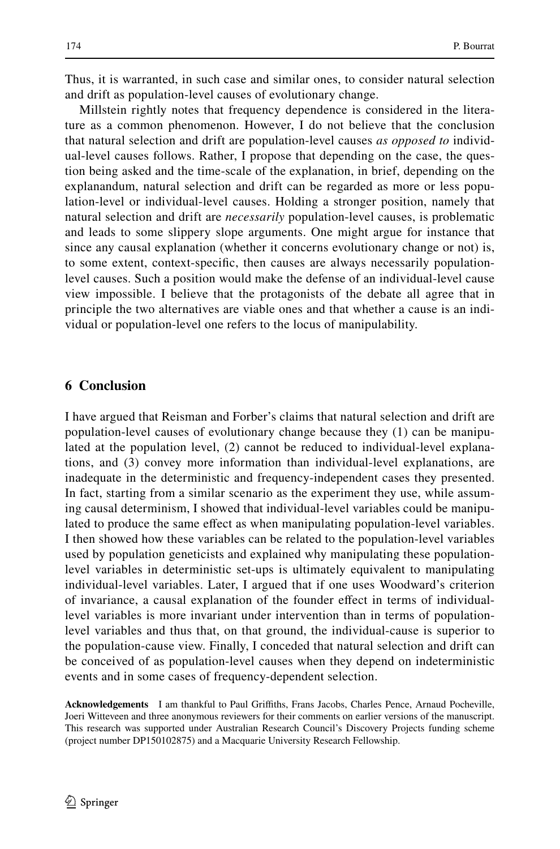Thus, it is warranted, in such case and similar ones, to consider natural selection and drift as population-level causes of evolutionary change.

Millstein rightly notes that frequency dependence is considered in the literature as a common phenomenon. However, I do not believe that the conclusion that natural selection and drift are population-level causes *as opposed to* individual-level causes follows. Rather, I propose that depending on the case, the question being asked and the time-scale of the explanation, in brief, depending on the explanandum, natural selection and drift can be regarded as more or less population-level or individual-level causes. Holding a stronger position, namely that natural selection and drift are *necessarily* population-level causes, is problematic and leads to some slippery slope arguments. One might argue for instance that since any causal explanation (whether it concerns evolutionary change or not) is, to some extent, context-specifc, then causes are always necessarily populationlevel causes. Such a position would make the defense of an individual-level cause view impossible. I believe that the protagonists of the debate all agree that in principle the two alternatives are viable ones and that whether a cause is an individual or population-level one refers to the locus of manipulability.

#### <span id="page-15-0"></span>**6 Conclusion**

I have argued that Reisman and Forber's claims that natural selection and drift are population-level causes of evolutionary change because they (1) can be manipulated at the population level, (2) cannot be reduced to individual-level explanations, and (3) convey more information than individual-level explanations, are inadequate in the deterministic and frequency-independent cases they presented. In fact, starting from a similar scenario as the experiment they use, while assuming causal determinism, I showed that individual-level variables could be manipulated to produce the same efect as when manipulating population-level variables. I then showed how these variables can be related to the population-level variables used by population geneticists and explained why manipulating these populationlevel variables in deterministic set-ups is ultimately equivalent to manipulating individual-level variables. Later, I argued that if one uses Woodward's criterion of invariance, a causal explanation of the founder efect in terms of individuallevel variables is more invariant under intervention than in terms of populationlevel variables and thus that, on that ground, the individual-cause is superior to the population-cause view. Finally, I conceded that natural selection and drift can be conceived of as population-level causes when they depend on indeterministic events and in some cases of frequency-dependent selection.

**Acknowledgements** I am thankful to Paul Grifths, Frans Jacobs, Charles Pence, Arnaud Pocheville, Joeri Witteveen and three anonymous reviewers for their comments on earlier versions of the manuscript. This research was supported under Australian Research Council's Discovery Projects funding scheme (project number DP150102875) and a Macquarie University Research Fellowship.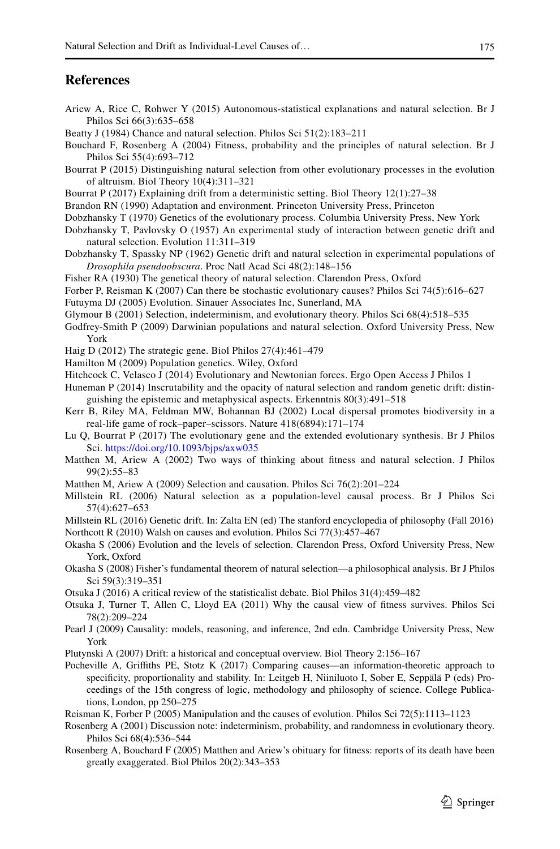# **References**

- <span id="page-16-3"></span>Ariew A, Rice C, Rohwer Y (2015) Autonomous-statistical explanations and natural selection. Br J Philos Sci 66(3):635–658
- <span id="page-16-15"></span>Beatty J (1984) Chance and natural selection. Philos Sci 51(2):183–211
- <span id="page-16-5"></span>Bouchard F, Rosenberg A (2004) Fitness, probability and the principles of natural selection. Br J Philos Sci 55(4):693–712
- <span id="page-16-33"></span>Bourrat P (2015) Distinguishing natural selection from other evolutionary processes in the evolution of altruism. Biol Theory 10(4):311–321
- <span id="page-16-24"></span>Bourrat P (2017) Explaining drift from a deterministic setting. Biol Theory 12(1):27–38
- <span id="page-16-26"></span>Brandon RN (1990) Adaptation and environment. Princeton University Press, Princeton
- <span id="page-16-28"></span>Dobzhansky T (1970) Genetics of the evolutionary process. Columbia University Press, New York
- <span id="page-16-12"></span>Dobzhansky T, Pavlovsky O (1957) An experimental study of interaction between genetic drift and natural selection. Evolution 11:311–319
- <span id="page-16-27"></span>Dobzhansky T, Spassky NP (1962) Genetic drift and natural selection in experimental populations of *Drosophila pseudoobscura*. Proc Natl Acad Sci 48(2):148–156
- <span id="page-16-20"></span>Fisher RA (1930) The genetical theory of natural selection. Clarendon Press, Oxford
- <span id="page-16-13"></span>Forber P, Reisman K (2007) Can there be stochastic evolutionary causes? Philos Sci 74(5):616–627
- <span id="page-16-14"></span>Futuyma DJ (2005) Evolution. Sinauer Associates Inc, Sunerland, MA
- <span id="page-16-30"></span>Glymour B (2001) Selection, indeterminism, and evolutionary theory. Philos Sci 68(4):518–535
- <span id="page-16-32"></span>Godfrey-Smith P (2009) Darwinian populations and natural selection. Oxford University Press, New York
- <span id="page-16-22"></span>Haig D (2012) The strategic gene. Biol Philos 27(4):461–479
- <span id="page-16-18"></span>Hamilton M (2009) Population genetics. Wiley, Oxford
- <span id="page-16-4"></span>Hitchcock C, Velasco J (2014) Evolutionary and Newtonian forces. Ergo Open Access J Philos 1
- <span id="page-16-31"></span>Huneman P (2014) Inscrutability and the opacity of natural selection and random genetic drift: distinguishing the epistemic and metaphysical aspects. Erkenntnis 80(3):491–518
- <span id="page-16-34"></span>Kerr B, Riley MA, Feldman MW, Bohannan BJ (2002) Local dispersal promotes biodiversity in a real-life game of rock–paper–scissors. Nature 418(6894):171–174
- <span id="page-16-23"></span>Lu Q, Bourrat P (2017) The evolutionary gene and the extended evolutionary synthesis. Br J Philos Sci. <https://doi.org/10.1093/bjps/axw035>
- <span id="page-16-1"></span>Matthen M, Ariew A (2002) Two ways of thinking about ftness and natural selection. J Philos  $99(2)$ :55–83
- <span id="page-16-2"></span>Matthen M, Ariew A (2009) Selection and causation. Philos Sci 76(2):201–224
- <span id="page-16-6"></span>Millstein RL (2006) Natural selection as a population-level causal process. Br J Philos Sci 57(4):627–653
- <span id="page-16-16"></span>Millstein RL (2016) Genetic drift. In: Zalta EN (ed) The stanford encyclopedia of philosophy (Fall 2016)
- <span id="page-16-7"></span>Northcott R (2010) Walsh on causes and evolution. Philos Sci 77(3):457–467
- <span id="page-16-19"></span>Okasha S (2006) Evolution and the levels of selection. Clarendon Press, Oxford University Press, New York, Oxford
- <span id="page-16-21"></span>Okasha S (2008) Fisher's fundamental theorem of natural selection—a philosophical analysis. Br J Philos Sci 59(3):319–351
- <span id="page-16-9"></span>Otsuka J (2016) A critical review of the statisticalist debate. Biol Philos 31(4):459–482
- <span id="page-16-10"></span>Otsuka J, Turner T, Allen C, Lloyd EA (2011) Why the causal view of ftness survives. Philos Sci 78(2):209–224
- <span id="page-16-11"></span>Pearl J (2009) Causality: models, reasoning, and inference, 2nd edn. Cambridge University Press, New York
- <span id="page-16-17"></span>Plutynski A (2007) Drift: a historical and conceptual overview. Biol Theory 2:156–167
- <span id="page-16-25"></span>Pocheville A, Grifths PE, Stotz K (2017) Comparing causes—an information-theoretic approach to specificity, proportionality and stability. In: Leitgeb H, Niiniluoto I, Sober E, Seppälä P (eds) Proceedings of the 15th congress of logic, methodology and philosophy of science. College Publications, London, pp 250–275
- <span id="page-16-0"></span>Reisman K, Forber P (2005) Manipulation and the causes of evolution. Philos Sci 72(5):1113–1123
- <span id="page-16-29"></span>Rosenberg A (2001) Discussion note: indeterminism, probability, and randomness in evolutionary theory. Philos Sci 68(4):536–544
- <span id="page-16-8"></span>Rosenberg A, Bouchard F (2005) Matthen and Ariew's obituary for ftness: reports of its death have been greatly exaggerated. Biol Philos 20(2):343–353